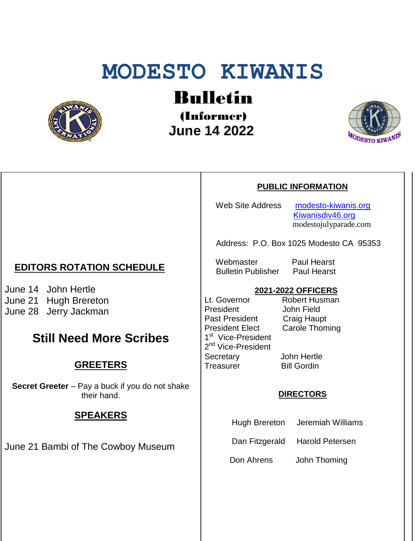# **MODESTO KIWANIS**



Bulletin

(Informer)  **June 14 2022**



### **PUBLIC INFORMATION**

Web Site Address [modesto-kiwanis.org](http://modesto-kiwanis.org/)

 [Kiwanisdiv46.org](http://www.kiwanisdiv46.org/) modestojulyparade.com

Address: P.O. Box 1025 Modesto CA 95353

Webmaster Paul Hearst Bulletin Publisher Paul Hearst

## **2021-2022 OFFICERS**

Lt. Governor President John Field Past President Craig Haupt<br>President Elect Carole Thom 1<sup>st</sup> Vice-President 2<sup>nd</sup> Vice-President Secretary John Hertle Treasurer Bill Gordin

**Carole Thoming** 

### **DIRECTORS**

Hugh Brereton Jeremiah Williams

Dan Fitzgerald Harold Petersen

Don Ahrens John Thoming

## **EDITORS ROTATION SCHEDULE**

June 14 John Hertle June 21 Hugh Brereton June 28 Jerry Jackman

## **Still Need More Scribes**

## **GREETERS**

**Secret Greeter** – Pay a buck if you do not shake their hand.

## **SPEAKERS**

June 21 Bambi of The Cowboy Museum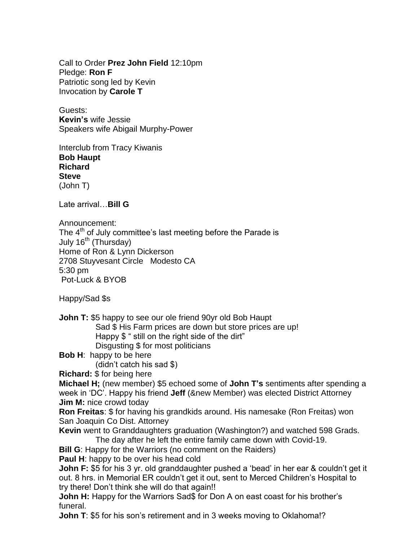Call to Order **Prez John Field** 12:10pm Pledge: **Ron F** Patriotic song led by Kevin Invocation by **Carole T**

Guests: **Kevin's** wife Jessie Speakers wife Abigail Murphy-Power

Interclub from Tracy Kiwanis **Bob Haupt Richard Steve** (John T)

Late arrival…**Bill G**

Announcement:

The  $4<sup>th</sup>$  of July committee's last meeting before the Parade is July  $16^{th}$  (Thursday) Home of Ron & Lynn Dickerson 2708 Stuyvesant Circle Modesto CA 5:30 pm Pot-Luck & BYOB

Happy/Sad \$s

**John T:** \$5 happy to see our ole friend 90yr old Bob Haupt Sad \$ His Farm prices are down but store prices are up! Happy \$ " still on the right side of the dirt" Disgusting \$ for most politicians

**Bob H**: happy to be here

(didn't catch his sad \$)

**Richard:** \$ for being here

**Michael H;** (new member) \$5 echoed some of **John T's** sentiments after spending a week in 'DC'. Happy his friend **Jeff** (&new Member) was elected District Attorney **Jim M:** nice crowd today

**Ron Freitas**: \$ for having his grandkids around. His namesake (Ron Freitas) won San Joaquin Co Dist. Attorney

**Kevin** went to Granddaughters graduation (Washington?) and watched 598 Grads. The day after he left the entire family came down with Covid-19.

**Bill G**: Happy for the Warriors (no comment on the Raiders)

**Paul H**: happy to be over his head cold

**John F:** \$5 for his 3 yr. old granddaughter pushed a 'bead' in her ear & couldn't get it out. 8 hrs. in Memorial ER couldn't get it out, sent to Merced Children's Hospital to try there! Don't think she will do that again!!

**John H:** Happy for the Warriors Sad\$ for Don A on east coast for his brother's funeral.

**John T**: \$5 for his son's retirement and in 3 weeks moving to Oklahoma!?